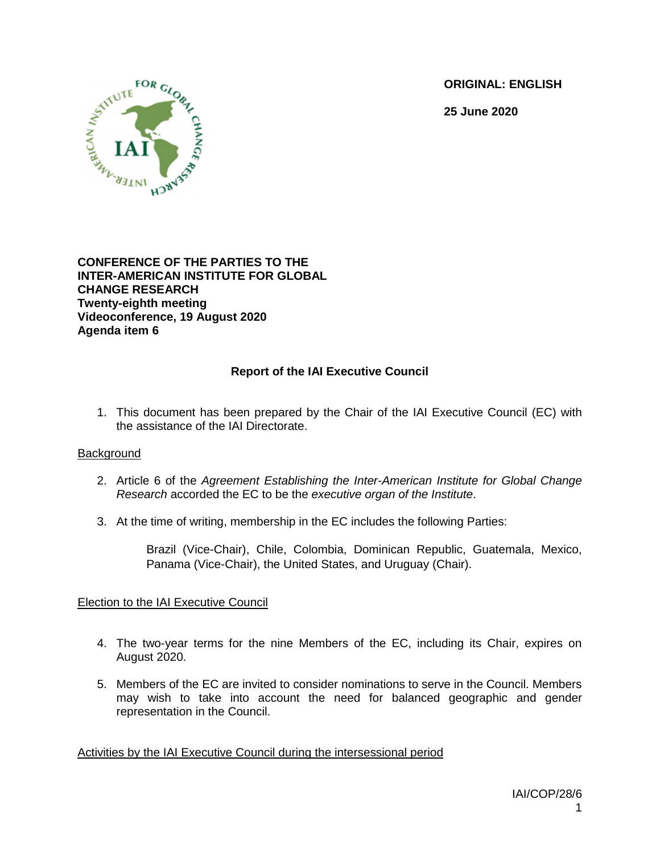**ORIGINAL: ENGLISH**

**25 June 2020**



**CONFERENCE OF THE PARTIES TO THE INTER-AMERICAN INSTITUTE FOR GLOBAL CHANGE RESEARCH Twenty-eighth meeting Videoconference, 19 August 2020 Agenda item 6**

# **Report of the IAI Executive Council**

1. This document has been prepared by the Chair of the IAI Executive Council (EC) with the assistance of the IAI Directorate.

#### **Background**

- 2. Article 6 of the *Agreement Establishing the Inter-American Institute for Global Change Research* accorded the EC to be the *executive organ of the Institute*.
- 3. At the time of writing, membership in the EC includes the following Parties:

Brazil (Vice-Chair), Chile, Colombia, Dominican Republic, Guatemala, Mexico, Panama (Vice-Chair), the United States, and Uruguay (Chair).

#### Election to the IAI Executive Council

- 4. The two-year terms for the nine Members of the EC, including its Chair, expires on August 2020.
- 5. Members of the EC are invited to consider nominations to serve in the Council. Members may wish to take into account the need for balanced geographic and gender representation in the Council.

Activities by the IAI Executive Council during the intersessional period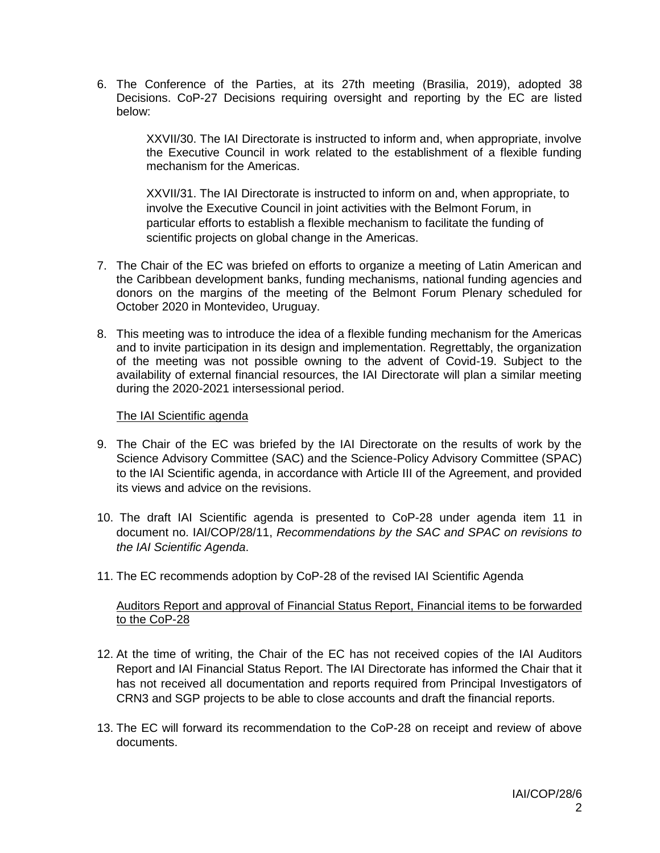6. The Conference of the Parties, at its 27th meeting (Brasilia, 2019), adopted 38 Decisions. CoP-27 Decisions requiring oversight and reporting by the EC are listed below:

XXVII/30. The IAI Directorate is instructed to inform and, when appropriate, involve the Executive Council in work related to the establishment of a flexible funding mechanism for the Americas.

XXVII/31. The IAI Directorate is instructed to inform on and, when appropriate, to involve the Executive Council in joint activities with the Belmont Forum, in particular efforts to establish a flexible mechanism to facilitate the funding of scientific projects on global change in the Americas.

- 7. The Chair of the EC was briefed on efforts to organize a meeting of Latin American and the Caribbean development banks, funding mechanisms, national funding agencies and donors on the margins of the meeting of the Belmont Forum Plenary scheduled for October 2020 in Montevideo, Uruguay.
- 8. This meeting was to introduce the idea of a flexible funding mechanism for the Americas and to invite participation in its design and implementation. Regrettably, the organization of the meeting was not possible owning to the advent of Covid-19. Subject to the availability of external financial resources, the IAI Directorate will plan a similar meeting during the 2020-2021 intersessional period.

#### The IAI Scientific agenda

- 9. The Chair of the EC was briefed by the IAI Directorate on the results of work by the Science Advisory Committee (SAC) and the Science-Policy Advisory Committee (SPAC) to the IAI Scientific agenda, in accordance with Article III of the Agreement, and provided its views and advice on the revisions.
- 10. The draft IAI Scientific agenda is presented to CoP-28 under agenda item 11 in document no. IAI/COP/28/11, *Recommendations by the SAC and SPAC on revisions to the IAI Scientific Agenda*.
- 11. The EC recommends adoption by CoP-28 of the revised IAI Scientific Agenda

#### Auditors Report and approval of Financial Status Report, Financial items to be forwarded to the CoP-28

- 12. At the time of writing, the Chair of the EC has not received copies of the IAI Auditors Report and IAI Financial Status Report. The IAI Directorate has informed the Chair that it has not received all documentation and reports required from Principal Investigators of CRN3 and SGP projects to be able to close accounts and draft the financial reports.
- 13. The EC will forward its recommendation to the CoP-28 on receipt and review of above documents.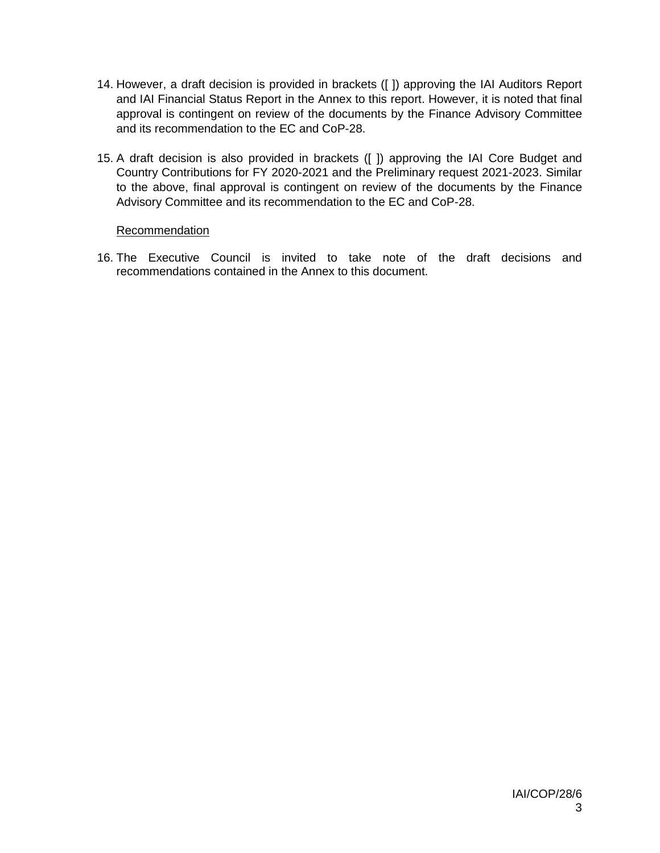- 14. However, a draft decision is provided in brackets ([ ]) approving the IAI Auditors Report and IAI Financial Status Report in the Annex to this report. However, it is noted that final approval is contingent on review of the documents by the Finance Advisory Committee and its recommendation to the EC and CoP-28.
- 15. A draft decision is also provided in brackets ([ ]) approving the IAI Core Budget and Country Contributions for FY 2020-2021 and the Preliminary request 2021-2023. Similar to the above, final approval is contingent on review of the documents by the Finance Advisory Committee and its recommendation to the EC and CoP-28.

#### **Recommendation**

16. The Executive Council is invited to take note of the draft decisions and recommendations contained in the Annex to this document.